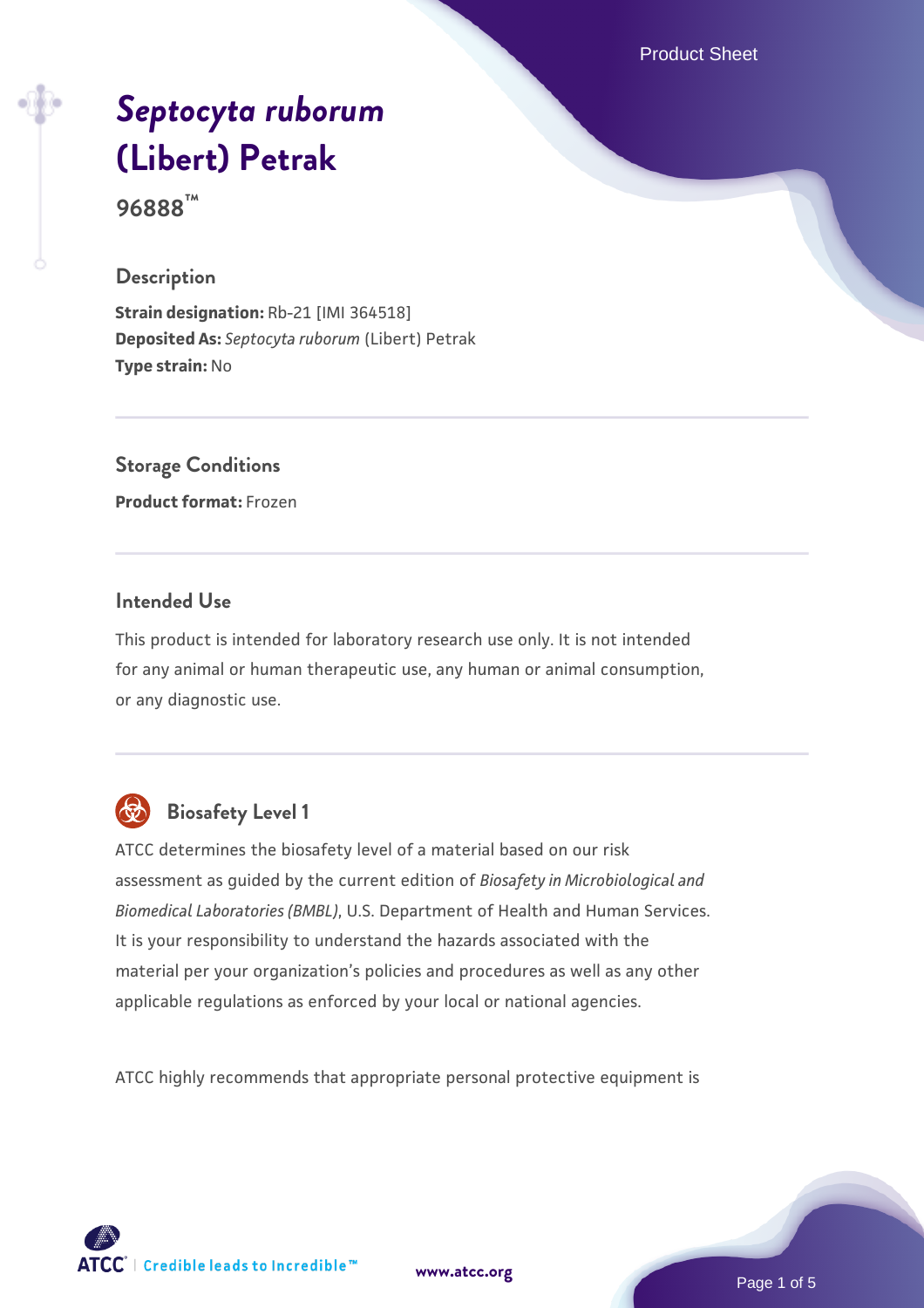Product Sheet

# *[Septocyta ruborum](https://www.atcc.org/products/96888)* **[\(Libert\) Petrak](https://www.atcc.org/products/96888)**

**96888™**

#### **Description**

**Strain designation:** Rb-21 [IMI 364518] **Deposited As:** *Septocyta ruborum* (Libert) Petrak **Type strain:** No

# **Storage Conditions**

**Product format:** Frozen

#### **Intended Use**

This product is intended for laboratory research use only. It is not intended for any animal or human therapeutic use, any human or animal consumption, or any diagnostic use.



# **Biosafety Level 1**

ATCC determines the biosafety level of a material based on our risk assessment as guided by the current edition of *Biosafety in Microbiological and Biomedical Laboratories (BMBL)*, U.S. Department of Health and Human Services. It is your responsibility to understand the hazards associated with the material per your organization's policies and procedures as well as any other applicable regulations as enforced by your local or national agencies.

ATCC highly recommends that appropriate personal protective equipment is

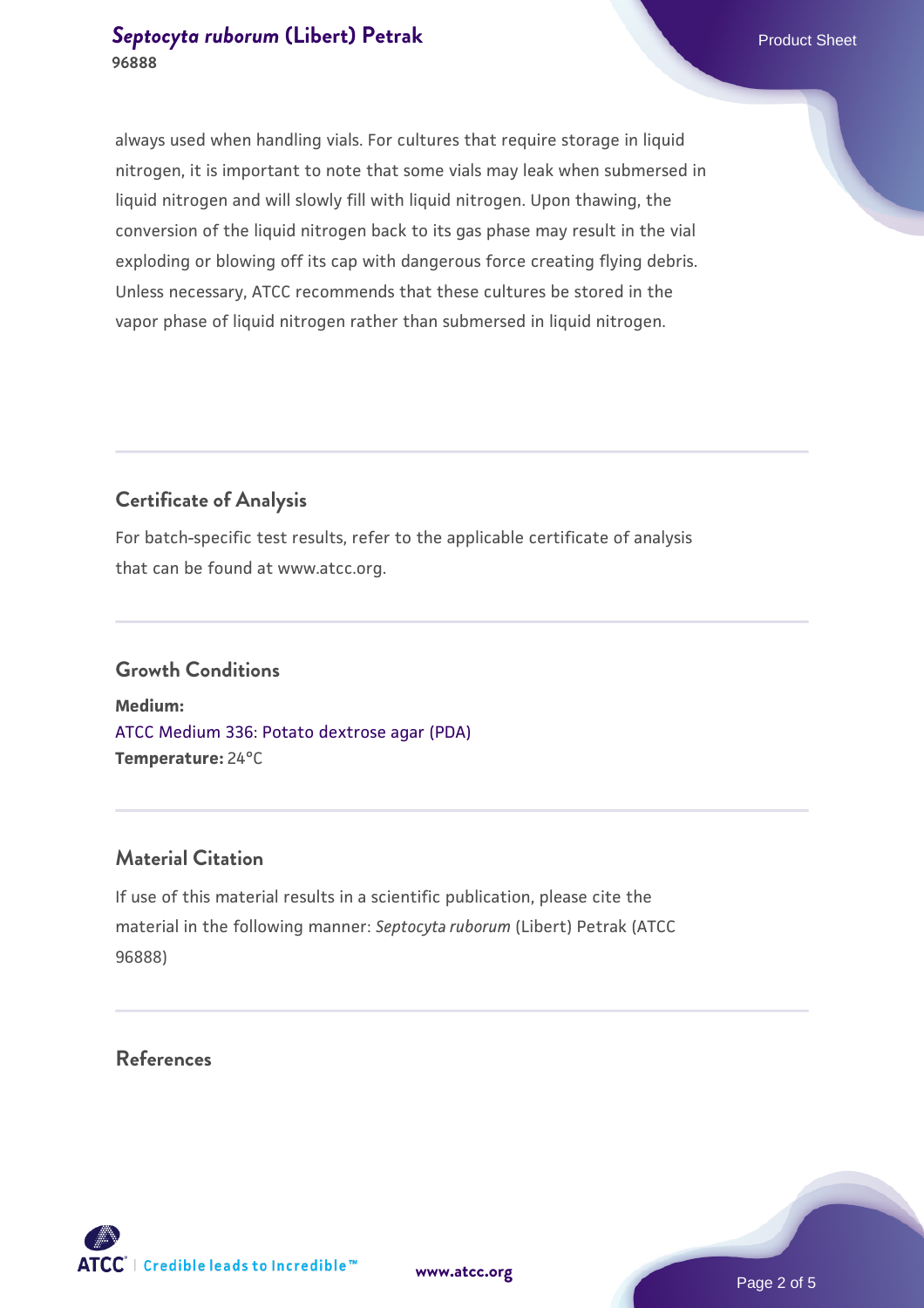#### **[Septocyta ruborum](https://www.atcc.org/products/96888) [\(Libert\) Petrak](https://www.atcc.org/products/96888)** Product Sheet **96888**

always used when handling vials. For cultures that require storage in liquid nitrogen, it is important to note that some vials may leak when submersed in liquid nitrogen and will slowly fill with liquid nitrogen. Upon thawing, the conversion of the liquid nitrogen back to its gas phase may result in the vial exploding or blowing off its cap with dangerous force creating flying debris. Unless necessary, ATCC recommends that these cultures be stored in the vapor phase of liquid nitrogen rather than submersed in liquid nitrogen.

## **Certificate of Analysis**

For batch-specific test results, refer to the applicable certificate of analysis that can be found at www.atcc.org.

#### **Growth Conditions**

**Medium:**  [ATCC Medium 336: Potato dextrose agar \(PDA\)](https://www.atcc.org/-/media/product-assets/documents/microbial-media-formulations/3/3/6/atcc-medium-336.pdf?rev=d9160ad44d934cd8b65175461abbf3b9) **Temperature:** 24°C

### **Material Citation**

If use of this material results in a scientific publication, please cite the material in the following manner: *Septocyta ruborum* (Libert) Petrak (ATCC 96888)

#### **References**

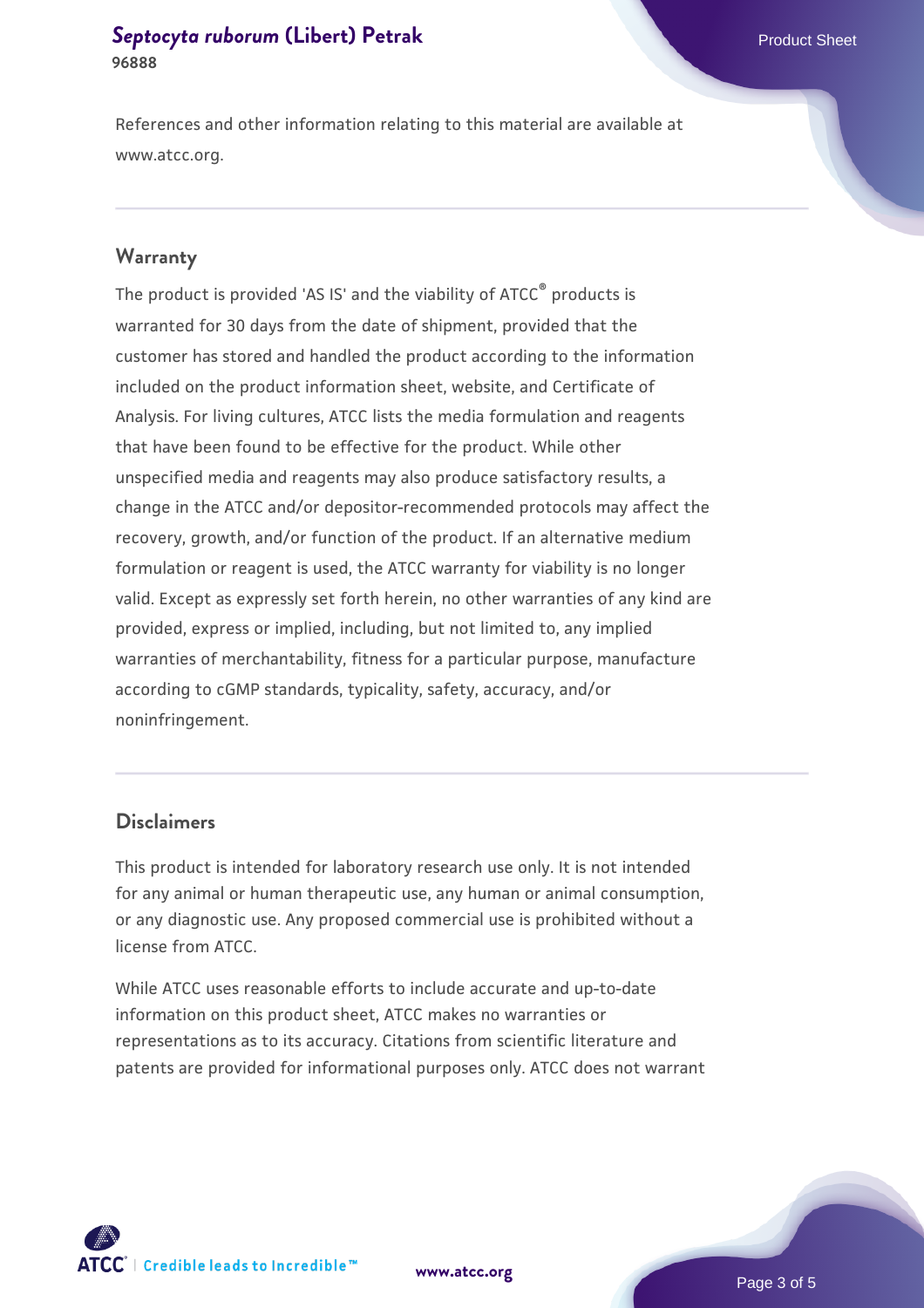#### **[Septocyta ruborum](https://www.atcc.org/products/96888) [\(Libert\) Petrak](https://www.atcc.org/products/96888)** Product Sheet **96888**

References and other information relating to this material are available at www.atcc.org.

#### **Warranty**

The product is provided 'AS IS' and the viability of ATCC® products is warranted for 30 days from the date of shipment, provided that the customer has stored and handled the product according to the information included on the product information sheet, website, and Certificate of Analysis. For living cultures, ATCC lists the media formulation and reagents that have been found to be effective for the product. While other unspecified media and reagents may also produce satisfactory results, a change in the ATCC and/or depositor-recommended protocols may affect the recovery, growth, and/or function of the product. If an alternative medium formulation or reagent is used, the ATCC warranty for viability is no longer valid. Except as expressly set forth herein, no other warranties of any kind are provided, express or implied, including, but not limited to, any implied warranties of merchantability, fitness for a particular purpose, manufacture according to cGMP standards, typicality, safety, accuracy, and/or noninfringement.

#### **Disclaimers**

This product is intended for laboratory research use only. It is not intended for any animal or human therapeutic use, any human or animal consumption, or any diagnostic use. Any proposed commercial use is prohibited without a license from ATCC.

While ATCC uses reasonable efforts to include accurate and up-to-date information on this product sheet, ATCC makes no warranties or representations as to its accuracy. Citations from scientific literature and patents are provided for informational purposes only. ATCC does not warrant





Page 3 of 5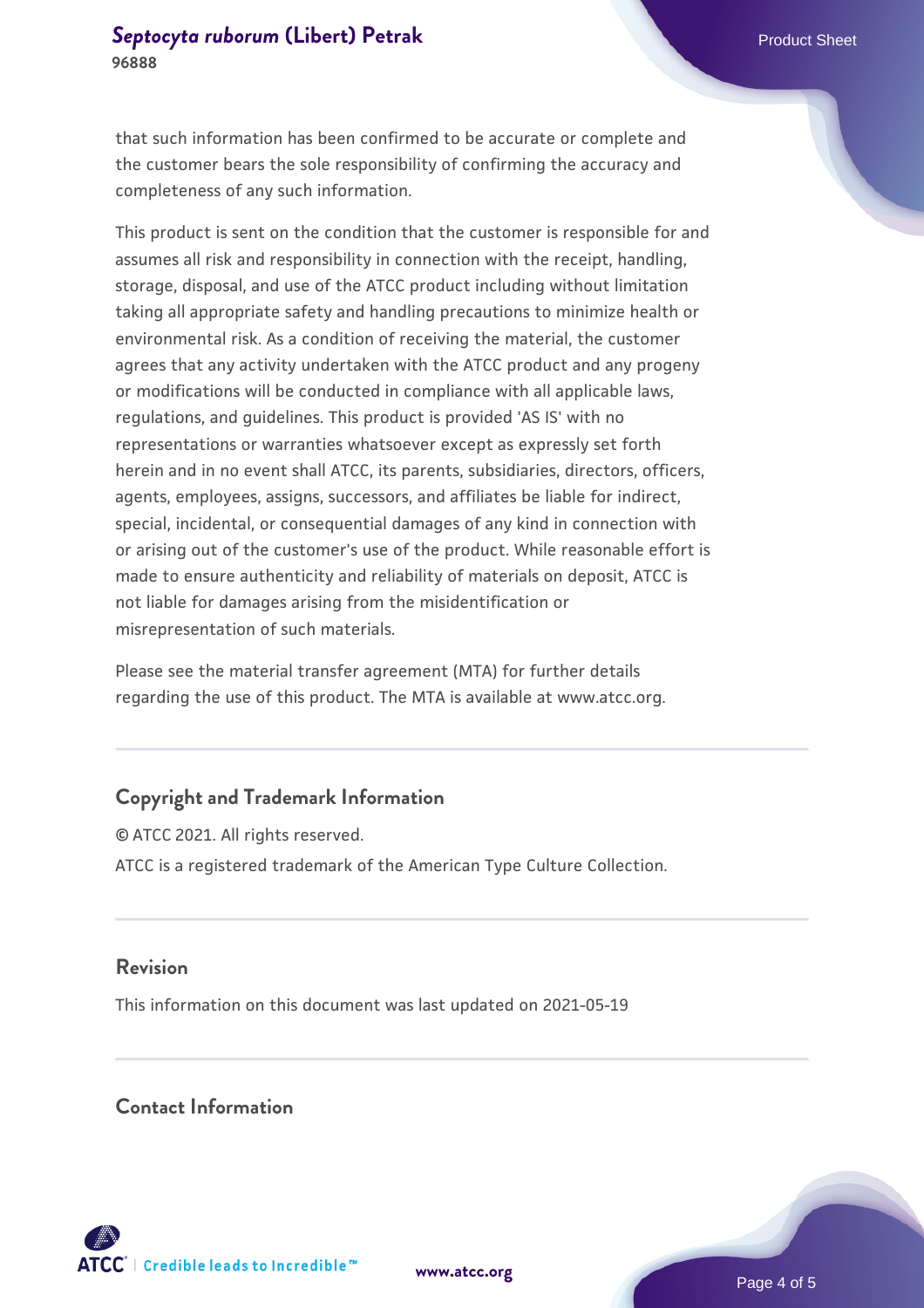that such information has been confirmed to be accurate or complete and the customer bears the sole responsibility of confirming the accuracy and completeness of any such information.

This product is sent on the condition that the customer is responsible for and assumes all risk and responsibility in connection with the receipt, handling, storage, disposal, and use of the ATCC product including without limitation taking all appropriate safety and handling precautions to minimize health or environmental risk. As a condition of receiving the material, the customer agrees that any activity undertaken with the ATCC product and any progeny or modifications will be conducted in compliance with all applicable laws, regulations, and guidelines. This product is provided 'AS IS' with no representations or warranties whatsoever except as expressly set forth herein and in no event shall ATCC, its parents, subsidiaries, directors, officers, agents, employees, assigns, successors, and affiliates be liable for indirect, special, incidental, or consequential damages of any kind in connection with or arising out of the customer's use of the product. While reasonable effort is made to ensure authenticity and reliability of materials on deposit, ATCC is not liable for damages arising from the misidentification or misrepresentation of such materials.

Please see the material transfer agreement (MTA) for further details regarding the use of this product. The MTA is available at www.atcc.org.

#### **Copyright and Trademark Information**

© ATCC 2021. All rights reserved. ATCC is a registered trademark of the American Type Culture Collection.

#### **Revision**

This information on this document was last updated on 2021-05-19

#### **Contact Information**